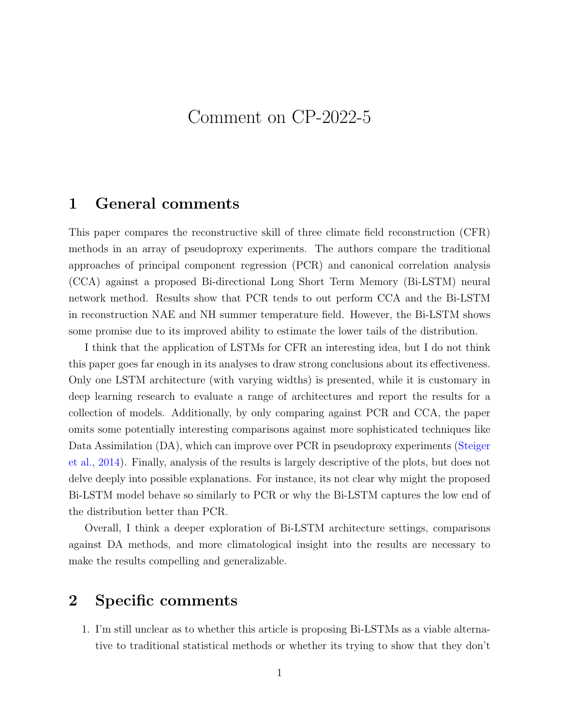# Comment on CP-2022-5

## 1 General comments

This paper compares the reconstructive skill of three climate field reconstruction (CFR) methods in an array of pseudoproxy experiments. The authors compare the traditional approaches of principal component regression (PCR) and canonical correlation analysis (CCA) against a proposed Bi-directional Long Short Term Memory (Bi-LSTM) neural network method. Results show that PCR tends to out perform CCA and the Bi-LSTM in reconstruction NAE and NH summer temperature field. However, the Bi-LSTM shows some promise due to its improved ability to estimate the lower tails of the distribution.

I think that the application of LSTMs for CFR an interesting idea, but I do not think this paper goes far enough in its analyses to draw strong conclusions about its effectiveness. Only one LSTM architecture (with varying widths) is presented, while it is customary in deep learning research to evaluate a range of architectures and report the results for a collection of models. Additionally, by only comparing against PCR and CCA, the paper omits some potentially interesting comparisons against more sophisticated techniques like Data Assimilation (DA), which can improve over PCR in pseudoproxy experiments [\(Steiger](#page-3-0) [et al.,](#page-3-0) [2014\)](#page-3-0). Finally, analysis of the results is largely descriptive of the plots, but does not delve deeply into possible explanations. For instance, its not clear why might the proposed Bi-LSTM model behave so similarly to PCR or why the Bi-LSTM captures the low end of the distribution better than PCR.

Overall, I think a deeper exploration of Bi-LSTM architecture settings, comparisons against DA methods, and more climatological insight into the results are necessary to make the results compelling and generalizable.

## 2 Specific comments

1. I'm still unclear as to whether this article is proposing Bi-LSTMs as a viable alternative to traditional statistical methods or whether its trying to show that they don't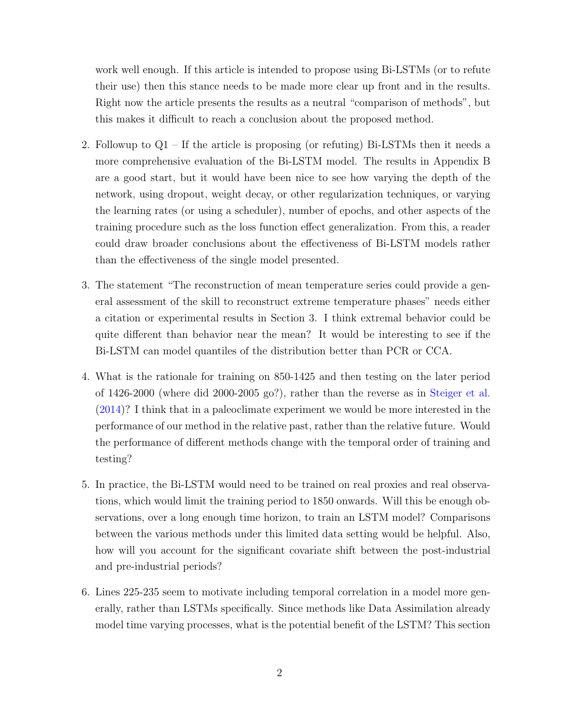work well enough. If this article is intended to propose using Bi-LSTMs (or to refute their use) then this stance needs to be made more clear up front and in the results. Right now the article presents the results as a neutral "comparison of methods", but this makes it difficult to reach a conclusion about the proposed method.

- 2. Followup to Q1 If the article is proposing (or refuting) Bi-LSTMs then it needs a more comprehensive evaluation of the Bi-LSTM model. The results in Appendix B are a good start, but it would have been nice to see how varying the depth of the network, using dropout, weight decay, or other regularization techniques, or varying the learning rates (or using a scheduler), number of epochs, and other aspects of the training procedure such as the loss function effect generalization. From this, a reader could draw broader conclusions about the effectiveness of Bi-LSTM models rather than the effectiveness of the single model presented.
- 3. The statement "The reconstruction of mean temperature series could provide a general assessment of the skill to reconstruct extreme temperature phases" needs either a citation or experimental results in Section 3. I think extremal behavior could be quite different than behavior near the mean? It would be interesting to see if the Bi-LSTM can model quantiles of the distribution better than PCR or CCA.
- 4. What is the rationale for training on 850-1425 and then testing on the later period of 1426-2000 (where did 2000-2005 go?), rather than the reverse as in [Steiger et al.](#page-3-0) [\(2014\)](#page-3-0)? I think that in a paleoclimate experiment we would be more interested in the performance of our method in the relative past, rather than the relative future. Would the performance of different methods change with the temporal order of training and testing?
- 5. In practice, the Bi-LSTM would need to be trained on real proxies and real observations, which would limit the training period to 1850 onwards. Will this be enough observations, over a long enough time horizon, to train an LSTM model? Comparisons between the various methods under this limited data setting would be helpful. Also, how will you account for the significant covariate shift between the post-industrial and pre-industrial periods?
- 6. Lines 225-235 seem to motivate including temporal correlation in a model more generally, rather than LSTMs specifically. Since methods like Data Assimilation already model time varying processes, what is the potential benefit of the LSTM? This section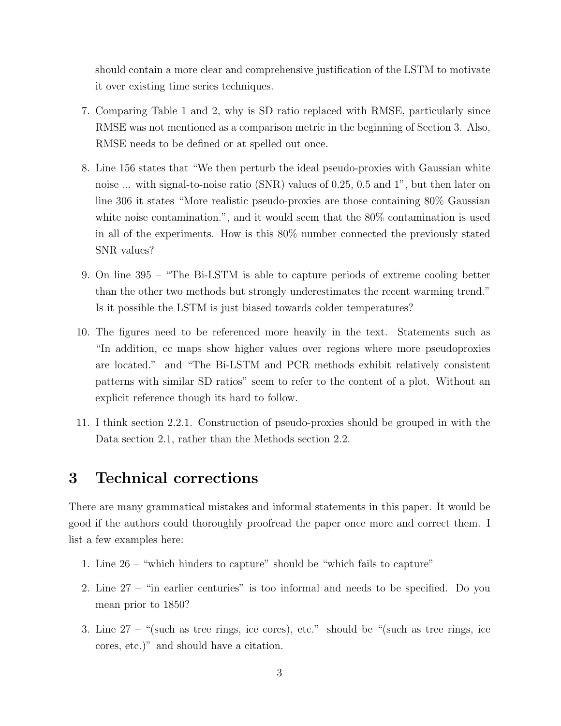should contain a more clear and comprehensive justification of the LSTM to motivate it over existing time series techniques.

- 7. Comparing Table 1 and 2, why is SD ratio replaced with RMSE, particularly since RMSE was not mentioned as a comparison metric in the beginning of Section 3. Also, RMSE needs to be defined or at spelled out once.
- 8. Line 156 states that "We then perturb the ideal pseudo-proxies with Gaussian white noise ... with signal-to-noise ratio (SNR) values of 0.25, 0.5 and 1", but then later on line 306 it states "More realistic pseudo-proxies are those containing 80% Gaussian white noise contamination.", and it would seem that the 80% contamination is used in all of the experiments. How is this 80% number connected the previously stated SNR values?
- 9. On line 395 "The Bi-LSTM is able to capture periods of extreme cooling better than the other two methods but strongly underestimates the recent warming trend." Is it possible the LSTM is just biased towards colder temperatures?
- 10. The figures need to be referenced more heavily in the text. Statements such as "In addition, cc maps show higher values over regions where more pseudoproxies are located." and "The Bi-LSTM and PCR methods exhibit relatively consistent patterns with similar SD ratios" seem to refer to the content of a plot. Without an explicit reference though its hard to follow.
- 11. I think section 2.2.1. Construction of pseudo-proxies should be grouped in with the Data section 2.1, rather than the Methods section 2.2.

#### 3 Technical corrections

There are many grammatical mistakes and informal statements in this paper. It would be good if the authors could thoroughly proofread the paper once more and correct them. I list a few examples here:

- 1. Line 26 "which hinders to capture" should be "which fails to capture"
- 2. Line 27 "in earlier centuries" is too informal and needs to be specified. Do you mean prior to 1850?
- 3. Line  $27 -$  "(such as tree rings, ice cores), etc." should be "(such as tree rings, ice cores, etc.)" and should have a citation.